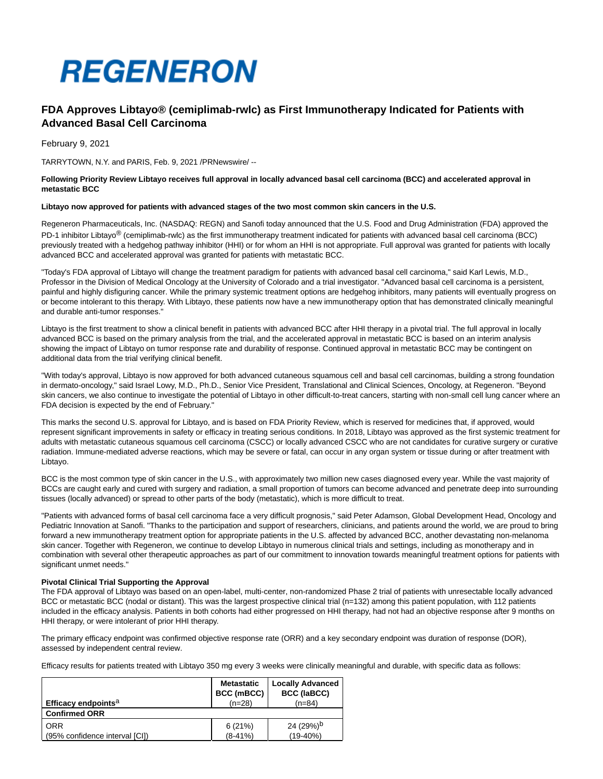

# **FDA Approves Libtayo® (cemiplimab-rwlc) as First Immunotherapy Indicated for Patients with Advanced Basal Cell Carcinoma**

February 9, 2021

TARRYTOWN, N.Y. and PARIS, Feb. 9, 2021 /PRNewswire/ --

## **Following Priority Review Libtayo receives full approval in locally advanced basal cell carcinoma (BCC) and accelerated approval in metastatic BCC**

## **Libtayo now approved for patients with advanced stages of the two most common skin cancers in the U.S.**

Regeneron Pharmaceuticals, Inc. (NASDAQ: REGN) and Sanofi today announced that the U.S. Food and Drug Administration (FDA) approved the PD-1 inhibitor Libtayo<sup>®</sup> (cemiplimab-rwlc) as the first immunotherapy treatment indicated for patients with advanced basal cell carcinoma (BCC) previously treated with a hedgehog pathway inhibitor (HHI) or for whom an HHI is not appropriate. Full approval was granted for patients with locally advanced BCC and accelerated approval was granted for patients with metastatic BCC.

"Today's FDA approval of Libtayo will change the treatment paradigm for patients with advanced basal cell carcinoma," said Karl Lewis, M.D., Professor in the Division of Medical Oncology at the University of Colorado and a trial investigator. "Advanced basal cell carcinoma is a persistent, painful and highly disfiguring cancer. While the primary systemic treatment options are hedgehog inhibitors, many patients will eventually progress on or become intolerant to this therapy. With Libtayo, these patients now have a new immunotherapy option that has demonstrated clinically meaningful and durable anti-tumor responses."

Libtayo is the first treatment to show a clinical benefit in patients with advanced BCC after HHI therapy in a pivotal trial. The full approval in locally advanced BCC is based on the primary analysis from the trial, and the accelerated approval in metastatic BCC is based on an interim analysis showing the impact of Libtayo on tumor response rate and durability of response. Continued approval in metastatic BCC may be contingent on additional data from the trial verifying clinical benefit.

"With today's approval, Libtayo is now approved for both advanced cutaneous squamous cell and basal cell carcinomas, building a strong foundation in dermato-oncology," said Israel Lowy, M.D., Ph.D., Senior Vice President, Translational and Clinical Sciences, Oncology, at Regeneron. "Beyond skin cancers, we also continue to investigate the potential of Libtayo in other difficult-to-treat cancers, starting with non-small cell lung cancer where an FDA decision is expected by the end of February."

This marks the second U.S. approval for Libtayo, and is based on FDA Priority Review, which is reserved for medicines that, if approved, would represent significant improvements in safety or efficacy in treating serious conditions. In 2018, Libtayo was approved as the first systemic treatment for adults with metastatic cutaneous squamous cell carcinoma (CSCC) or locally advanced CSCC who are not candidates for curative surgery or curative radiation. Immune-mediated adverse reactions, which may be severe or fatal, can occur in any organ system or tissue during or after treatment with Libtayo.

BCC is the most common type of skin cancer in the U.S., with approximately two million new cases diagnosed every year. While the vast majority of BCCs are caught early and cured with surgery and radiation, a small proportion of tumors can become advanced and penetrate deep into surrounding tissues (locally advanced) or spread to other parts of the body (metastatic), which is more difficult to treat.

"Patients with advanced forms of basal cell carcinoma face a very difficult prognosis," said Peter Adamson, Global Development Head, Oncology and Pediatric Innovation at Sanofi. "Thanks to the participation and support of researchers, clinicians, and patients around the world, we are proud to bring forward a new immunotherapy treatment option for appropriate patients in the U.S. affected by advanced BCC, another devastating non-melanoma skin cancer. Together with Regeneron, we continue to develop Libtayo in numerous clinical trials and settings, including as monotherapy and in combination with several other therapeutic approaches as part of our commitment to innovation towards meaningful treatment options for patients with significant unmet needs."

#### **Pivotal Clinical Trial Supporting the Approval**

The FDA approval of Libtayo was based on an open-label, multi-center, non-randomized Phase 2 trial of patients with unresectable locally advanced BCC or metastatic BCC (nodal or distant). This was the largest prospective clinical trial (n=132) among this patient population, with 112 patients included in the efficacy analysis. Patients in both cohorts had either progressed on HHI therapy, had not had an objective response after 9 months on HHI therapy, or were intolerant of prior HHI therapy.

The primary efficacy endpoint was confirmed objective response rate (ORR) and a key secondary endpoint was duration of response (DOR), assessed by independent central review.

Efficacy results for patients treated with Libtayo 350 mg every 3 weeks were clinically meaningful and durable, with specific data as follows:

|                                 | <b>Metastatic</b><br>BCC (mBCC) | <b>Locally Advanced</b><br><b>BCC (laBCC)</b> |
|---------------------------------|---------------------------------|-----------------------------------------------|
| Efficacy endpoints <sup>a</sup> | $(n=28)$                        | $(n=84)$                                      |
| <b>Confirmed ORR</b>            |                                 |                                               |
| <b>ORR</b>                      | 6(21%)                          | 24 (29%) <sup>b</sup>                         |
| (95% confidence interval [CI])  | $(8-41%)$                       | $(19-40%)$                                    |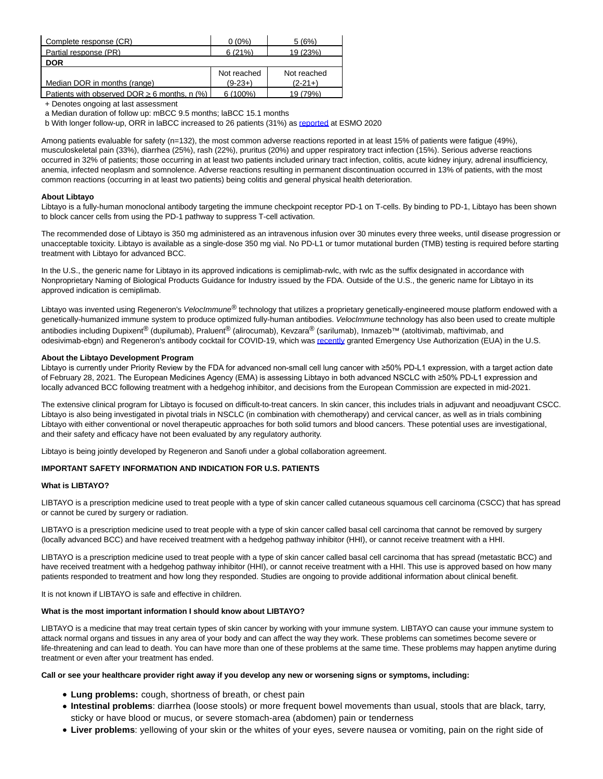| Complete response (CR)                            | $0(0\%)$    | 5(6%)       |
|---------------------------------------------------|-------------|-------------|
| Partial response (PR)                             | 6(21%)      | 19 (23%)    |
| <b>DOR</b>                                        |             |             |
|                                                   | Not reached | Not reached |
| Median DOR in months (range)                      | $(9-23+)$   | $(2-21+)$   |
| Patients with observed DOR $\geq$ 6 months, n (%) | $6(100\%)$  | 19 (79%)    |

+ Denotes ongoing at last assessment

a Median duration of follow up: mBCC 9.5 months; laBCC 15.1 months

b With longer follow-up, ORR in laBCC increased to 26 patients (31%) as [reported a](https://c212.net/c/link/?t=0&l=en&o=3059798-1&h=1452879694&u=https%3A%2F%2Finvestor.regeneron.com%2Fnews-releases%2Fnews-release-details%2Fpositive-pivotal-data-libtayor-cemiplimab-monotherapy-locally&a=reported)t ESMO 2020

Among patients evaluable for safety (n=132), the most common adverse reactions reported in at least 15% of patients were fatigue (49%), musculoskeletal pain (33%), diarrhea (25%), rash (22%), pruritus (20%) and upper respiratory tract infection (15%). Serious adverse reactions occurred in 32% of patients; those occurring in at least two patients included urinary tract infection, colitis, acute kidney injury, adrenal insufficiency, anemia, infected neoplasm and somnolence. Adverse reactions resulting in permanent discontinuation occurred in 13% of patients, with the most common reactions (occurring in at least two patients) being colitis and general physical health deterioration.

## **About Libtayo**

Libtayo is a fully-human monoclonal antibody targeting the immune checkpoint receptor PD-1 on T-cells. By binding to PD-1, Libtayo has been shown to block cancer cells from using the PD-1 pathway to suppress T-cell activation.

The recommended dose of Libtayo is 350 mg administered as an intravenous infusion over 30 minutes every three weeks, until disease progression or unacceptable toxicity. Libtayo is available as a single-dose 350 mg vial. No PD-L1 or tumor mutational burden (TMB) testing is required before starting treatment with Libtayo for advanced BCC.

In the U.S., the generic name for Libtayo in its approved indications is cemiplimab-rwlc, with rwlc as the suffix designated in accordance with Nonproprietary Naming of Biological Products Guidance for Industry issued by the FDA. Outside of the U.S., the generic name for Libtayo in its approved indication is cemiplimab.

Libtayo was invented using Regeneron's *VelocImmune®* technology that utilizes a proprietary genetically-engineered mouse platform endowed with a genetically-humanized immune system to produce optimized fully-human antibodies. VelocImmune technology has also been used to create multiple antibodies including Dupixent<sup>®</sup> (dupilumab), Praluent<sup>®</sup> (alirocumab), Kevzara® (sarilumab), Inmazeb™ (atoltivimab, maftivimab, and odesivimab-ebgn) and Regeneron's antibody cocktail for COVID-19, which wa[s recently g](https://c212.net/c/link/?t=0&l=en&o=3059798-1&h=3123133747&u=https%3A%2F%2Finvestor.regeneron.com%2Fnews-releases%2Fnews-release-details%2Fregenerons-regen-cov2-first-antibody-cocktail-covid-19-receive&a=recently)ranted Emergency Use Authorization (EUA) in the U.S.

## **About the Libtayo Development Program**

Libtayo is currently under Priority Review by the FDA for advanced non-small cell lung cancer with ≥50% PD-L1 expression, with a target action date of February 28, 2021. The European Medicines Agency (EMA) is assessing Libtayo in both advanced NSCLC with ≥50% PD-L1 expression and locally advanced BCC following treatment with a hedgehog inhibitor, and decisions from the European Commission are expected in mid-2021.

The extensive clinical program for Libtayo is focused on difficult-to-treat cancers. In skin cancer, this includes trials in adjuvant and neoadjuvant CSCC. Libtayo is also being investigated in pivotal trials in NSCLC (in combination with chemotherapy) and cervical cancer, as well as in trials combining Libtayo with either conventional or novel therapeutic approaches for both solid tumors and blood cancers. These potential uses are investigational, and their safety and efficacy have not been evaluated by any regulatory authority.

Libtayo is being jointly developed by Regeneron and Sanofi under a global collaboration agreement.

# **IMPORTANT SAFETY INFORMATION AND INDICATION FOR U.S. PATIENTS**

## **What is LIBTAYO?**

LIBTAYO is a prescription medicine used to treat people with a type of skin cancer called cutaneous squamous cell carcinoma (CSCC) that has spread or cannot be cured by surgery or radiation.

LIBTAYO is a prescription medicine used to treat people with a type of skin cancer called basal cell carcinoma that cannot be removed by surgery (locally advanced BCC) and have received treatment with a hedgehog pathway inhibitor (HHI), or cannot receive treatment with a HHI.

LIBTAYO is a prescription medicine used to treat people with a type of skin cancer called basal cell carcinoma that has spread (metastatic BCC) and have received treatment with a hedgehog pathway inhibitor (HHI), or cannot receive treatment with a HHI. This use is approved based on how many patients responded to treatment and how long they responded. Studies are ongoing to provide additional information about clinical benefit.

It is not known if LIBTAYO is safe and effective in children.

# **What is the most important information I should know about LIBTAYO?**

LIBTAYO is a medicine that may treat certain types of skin cancer by working with your immune system. LIBTAYO can cause your immune system to attack normal organs and tissues in any area of your body and can affect the way they work. These problems can sometimes become severe or life-threatening and can lead to death. You can have more than one of these problems at the same time. These problems may happen anytime during treatment or even after your treatment has ended.

# **Call or see your healthcare provider right away if you develop any new or worsening signs or symptoms, including:**

- **Lung problems:** cough, shortness of breath, or chest pain
- **Intestinal problems**: diarrhea (loose stools) or more frequent bowel movements than usual, stools that are black, tarry, sticky or have blood or mucus, or severe stomach-area (abdomen) pain or tenderness
- **Liver problems**: yellowing of your skin or the whites of your eyes, severe nausea or vomiting, pain on the right side of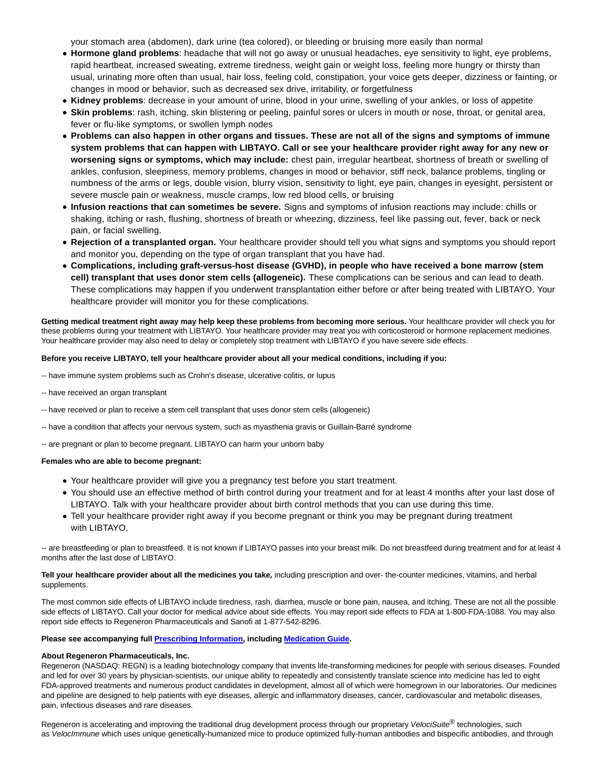your stomach area (abdomen), dark urine (tea colored), or bleeding or bruising more easily than normal

- **Hormone gland problems**: headache that will not go away or unusual headaches, eye sensitivity to light, eye problems, rapid heartbeat, increased sweating, extreme tiredness, weight gain or weight loss, feeling more hungry or thirsty than usual, urinating more often than usual, hair loss, feeling cold, constipation, your voice gets deeper, dizziness or fainting, or changes in mood or behavior, such as decreased sex drive, irritability, or forgetfulness
- **Kidney problems**: decrease in your amount of urine, blood in your urine, swelling of your ankles, or loss of appetite
- **Skin problems**: rash, itching, skin blistering or peeling, painful sores or ulcers in mouth or nose, throat, or genital area, fever or flu-like symptoms, or swollen lymph nodes
- **Problems can also happen in other organs and tissues. These are not all of the signs and symptoms of immune system problems that can happen with LIBTAYO. Call or see your healthcare provider right away for any new or worsening signs or symptoms, which may include:** chest pain, irregular heartbeat, shortness of breath or swelling of ankles, confusion, sleepiness, memory problems, changes in mood or behavior, stiff neck, balance problems, tingling or numbness of the arms or legs, double vision, blurry vision, sensitivity to light, eye pain, changes in eyesight, persistent or severe muscle pain or weakness, muscle cramps, low red blood cells, or bruising
- **Infusion reactions that can sometimes be severe.** Signs and symptoms of infusion reactions may include: chills or shaking, itching or rash, flushing, shortness of breath or wheezing, dizziness, feel like passing out, fever, back or neck pain, or facial swelling.
- **Rejection of a transplanted organ.** Your healthcare provider should tell you what signs and symptoms you should report and monitor you, depending on the type of organ transplant that you have had.
- **Complications, including graft-versus-host disease (GVHD), in people who have received a bone marrow (stem cell) transplant that uses donor stem cells (allogeneic).** These complications can be serious and can lead to death. These complications may happen if you underwent transplantation either before or after being treated with LIBTAYO. Your healthcare provider will monitor you for these complications.

Getting medical treatment right away may help keep these problems from becoming more serious. Your healthcare provider will check you for these problems during your treatment with LIBTAYO. Your healthcare provider may treat you with corticosteroid or hormone replacement medicines. Your healthcare provider may also need to delay or completely stop treatment with LIBTAYO if you have severe side effects.

## **Before you receive LIBTAYO, tell your healthcare provider about all your medical conditions, including if you:**

- -- have immune system problems such as Crohn's disease, ulcerative colitis, or lupus
- -- have received an organ transplant
- -- have received or plan to receive a stem cell transplant that uses donor stem cells (allogeneic)
- -- have a condition that affects your nervous system, such as myasthenia gravis or Guillain-Barré syndrome
- -- are pregnant or plan to become pregnant. LIBTAYO can harm your unborn baby

#### **Females who are able to become pregnant:**

- Your healthcare provider will give you a pregnancy test before you start treatment.
- You should use an effective method of birth control during your treatment and for at least 4 months after your last dose of LIBTAYO. Talk with your healthcare provider about birth control methods that you can use during this time.
- Tell your healthcare provider right away if you become pregnant or think you may be pregnant during treatment with LIBTAYO.

-- are breastfeeding or plan to breastfeed. It is not known if LIBTAYO passes into your breast milk. Do not breastfeed during treatment and for at least 4 months after the last dose of LIBTAYO.

**Tell your healthcare provider about all the medicines you take,** including prescription and over- the-counter medicines, vitamins, and herbal supplements.

The most common side effects of LIBTAYO include tiredness, rash, diarrhea, muscle or bone pain, nausea, and itching. These are not all the possible side effects of LIBTAYO. Call your doctor for medical advice about side effects. You may report side effects to FDA at 1-800-FDA-1088. You may also report side effects to Regeneron Pharmaceuticals and Sanofi at 1-877-542-8296.

## **Please see accompanying full [Prescribing Information,](https://c212.net/c/link/?t=0&l=en&o=3059798-1&h=557519251&u=https%3A%2F%2Fwww.regeneron.com%2Fsites%2Fdefault%2Ffiles%2FLibtayo_FPI.pdf&a=Prescribing+Information) including [Medication Guide.](https://c212.net/c/link/?t=0&l=en&o=3059798-1&h=829101075&u=https%3A%2F%2Fwww.regeneron.com%2Fsites%2Fdefault%2Ffiles%2Fx1216(3)a.pdf&a=Medication+Guide)**

## **About Regeneron Pharmaceuticals, Inc.**

Regeneron (NASDAQ: REGN) is a leading biotechnology company that invents life-transforming medicines for people with serious diseases. Founded and led for over 30 years by physician-scientists, our unique ability to repeatedly and consistently translate science into medicine has led to eight FDA-approved treatments and numerous product candidates in development, almost all of which were homegrown in our laboratories. Our medicines and pipeline are designed to help patients with eye diseases, allergic and inflammatory diseases, cancer, cardiovascular and metabolic diseases, pain, infectious diseases and rare diseases.

Regeneron is accelerating and improving the traditional drug development process through our proprietary VelociSuite® technologies, such as VelocImmune which uses unique genetically-humanized mice to produce optimized fully-human antibodies and bispecific antibodies, and through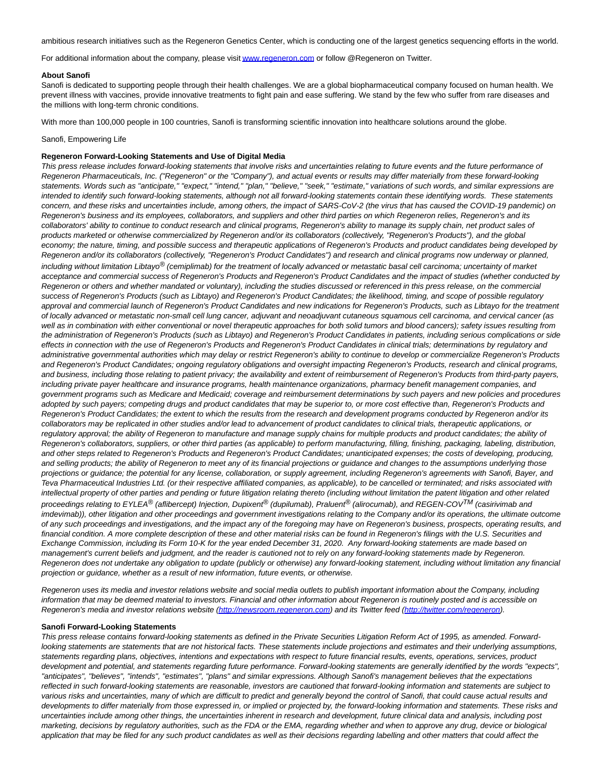ambitious research initiatives such as the Regeneron Genetics Center, which is conducting one of the largest genetics sequencing efforts in the world.

For additional information about the company, please visi[t www.regeneron.com o](https://c212.net/c/link/?t=0&l=en&o=3059798-1&h=2918614759&u=http%3A%2F%2Fwww.regeneron.com%2F&a=www.regeneron.com)r follow @Regeneron on Twitter.

#### **About Sanofi**

Sanofi is dedicated to supporting people through their health challenges. We are a global biopharmaceutical company focused on human health. We prevent illness with vaccines, provide innovative treatments to fight pain and ease suffering. We stand by the few who suffer from rare diseases and the millions with long-term chronic conditions.

With more than 100,000 people in 100 countries, Sanofi is transforming scientific innovation into healthcare solutions around the globe.

## Sanofi, Empowering Life

## **Regeneron Forward-Looking Statements and Use of Digital Media**

This press release includes forward-looking statements that involve risks and uncertainties relating to future events and the future performance of Regeneron Pharmaceuticals, Inc. ("Regeneron" or the "Company"), and actual events or results may differ materially from these forward-looking statements. Words such as "anticipate," "expect," "intend," "plan," "believe," "seek," "estimate," variations of such words, and similar expressions are intended to identify such forward-looking statements, although not all forward-looking statements contain these identifying words. These statements concern, and these risks and uncertainties include, among others, the impact of SARS-CoV-2 (the virus that has caused the COVID-19 pandemic) on Regeneron's business and its employees, collaborators, and suppliers and other third parties on which Regeneron relies, Regeneron's and its collaborators' ability to continue to conduct research and clinical programs, Regeneron's ability to manage its supply chain, net product sales of products marketed or otherwise commercialized by Regeneron and/or its collaborators (collectively, "Regeneron's Products"), and the global economy; the nature, timing, and possible success and therapeutic applications of Regeneron's Products and product candidates being developed by Regeneron and/or its collaborators (collectively, "Regeneron's Product Candidates") and research and clinical programs now underway or planned, including without limitation Libtayo<sup>®</sup> (cemiplimab) for the treatment of locally advanced or metastatic basal cell carcinoma; uncertainty of market acceptance and commercial success of Regeneron's Products and Regeneron's Product Candidates and the impact of studies (whether conducted by Regeneron or others and whether mandated or voluntary), including the studies discussed or referenced in this press release, on the commercial success of Regeneron's Products (such as Libtayo) and Regeneron's Product Candidates; the likelihood, timing, and scope of possible regulatory approval and commercial launch of Regeneron's Product Candidates and new indications for Regeneron's Products, such as Libtayo for the treatment of locally advanced or metastatic non-small cell lung cancer, adjuvant and neoadjuvant cutaneous squamous cell carcinoma, and cervical cancer (as well as in combination with either conventional or novel therapeutic approaches for both solid tumors and blood cancers); safety issues resulting from the administration of Regeneron's Products (such as Libtayo) and Regeneron's Product Candidates in patients, including serious complications or side effects in connection with the use of Regeneron's Products and Regeneron's Product Candidates in clinical trials; determinations by regulatory and administrative governmental authorities which may delay or restrict Regeneron's ability to continue to develop or commercialize Regeneron's Products and Regeneron's Product Candidates; ongoing regulatory obligations and oversight impacting Regeneron's Products, research and clinical programs, and business, including those relating to patient privacy; the availability and extent of reimbursement of Regeneron's Products from third-party payers, including private payer healthcare and insurance programs, health maintenance organizations, pharmacy benefit management companies, and government programs such as Medicare and Medicaid; coverage and reimbursement determinations by such payers and new policies and procedures adopted by such payers; competing drugs and product candidates that may be superior to, or more cost effective than, Regeneron's Products and Regeneron's Product Candidates; the extent to which the results from the research and development programs conducted by Regeneron and/or its collaborators may be replicated in other studies and/or lead to advancement of product candidates to clinical trials, therapeutic applications, or regulatory approval; the ability of Regeneron to manufacture and manage supply chains for multiple products and product candidates; the ability of Regeneron's collaborators, suppliers, or other third parties (as applicable) to perform manufacturing, filling, finishing, packaging, labeling, distribution, and other steps related to Regeneron's Products and Regeneron's Product Candidates; unanticipated expenses; the costs of developing, producing, and selling products; the ability of Regeneron to meet any of its financial projections or guidance and changes to the assumptions underlying those projections or guidance; the potential for any license, collaboration, or supply agreement, including Regeneron's agreements with Sanofi, Bayer, and Teva Pharmaceutical Industries Ltd. (or their respective affiliated companies, as applicable), to be cancelled or terminated; and risks associated with intellectual property of other parties and pending or future litigation relating thereto (including without limitation the patent litigation and other related proceedings relating to EYLEA<sup>®</sup> (aflibercept) Injection, Dupixent<sup>®</sup> (dupilumab), Praluent<sup>®</sup> (alirocumab), and REGEN-COV<sup>TM</sup> (casirivimab and imdevimab)), other litigation and other proceedings and government investigations relating to the Company and/or its operations, the ultimate outcome of any such proceedings and investigations, and the impact any of the foregoing may have on Regeneron's business, prospects, operating results, and financial condition. A more complete description of these and other material risks can be found in Regeneron's filings with the U.S. Securities and Exchange Commission, including its Form 10-K for the year ended December 31, 2020. Any forward-looking statements are made based on management's current beliefs and judgment, and the reader is cautioned not to rely on any forward-looking statements made by Regeneron. Regeneron does not undertake any obligation to update (publicly or otherwise) any forward-looking statement, including without limitation any financial projection or guidance, whether as a result of new information, future events, or otherwise.

Regeneron uses its media and investor relations website and social media outlets to publish important information about the Company, including information that may be deemed material to investors. Financial and other information about Regeneron is routinely posted and is accessible on Regeneron's media and investor relations website [\(http://newsroom.regeneron.com\)](http://newsroom.regeneron.com/) and its Twitter feed [\(http://twitter.com/regeneron\).](https://c212.net/c/link/?t=0&l=en&o=3059798-1&h=1680151149&u=http%3A%2F%2Ftwitter.com%2Fregeneron&a=http%3A%2F%2Ftwitter.com%2Fregeneron)

#### **Sanofi Forward-Looking Statements**

This press release contains forward-looking statements as defined in the Private Securities Litigation Reform Act of 1995, as amended. Forwardlooking statements are statements that are not historical facts. These statements include projections and estimates and their underlying assumptions, statements regarding plans, objectives, intentions and expectations with respect to future financial results, events, operations, services, product development and potential, and statements regarding future performance. Forward-looking statements are generally identified by the words "expects", "anticipates", "believes", "intends", "estimates", "plans" and similar expressions. Although Sanofi's management believes that the expectations reflected in such forward-looking statements are reasonable, investors are cautioned that forward-looking information and statements are subject to various risks and uncertainties, many of which are difficult to predict and generally beyond the control of Sanofi, that could cause actual results and developments to differ materially from those expressed in, or implied or projected by, the forward-looking information and statements. These risks and uncertainties include among other things, the uncertainties inherent in research and development, future clinical data and analysis, including post marketing, decisions by regulatory authorities, such as the FDA or the EMA, regarding whether and when to approve any drug, device or biological application that may be filed for any such product candidates as well as their decisions regarding labelling and other matters that could affect the